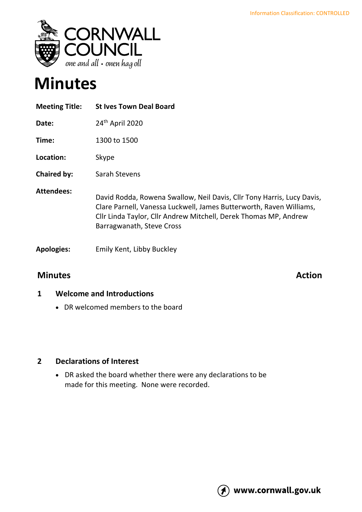

# **Minutes**

| <b>Meeting Title:</b> | <b>St Ives Town Deal Board</b>                                                                                                                                                                                                                 |
|-----------------------|------------------------------------------------------------------------------------------------------------------------------------------------------------------------------------------------------------------------------------------------|
| Date:                 | 24 <sup>th</sup> April 2020                                                                                                                                                                                                                    |
| Time:                 | 1300 to 1500                                                                                                                                                                                                                                   |
| Location:             | Skype                                                                                                                                                                                                                                          |
| <b>Chaired by:</b>    | Sarah Stevens                                                                                                                                                                                                                                  |
| <b>Attendees:</b>     | David Rodda, Rowena Swallow, Neil Davis, Cllr Tony Harris, Lucy Davis,<br>Clare Parnell, Vanessa Luckwell, James Butterworth, Raven Williams,<br>Cllr Linda Taylor, Cllr Andrew Mitchell, Derek Thomas MP, Andrew<br>Barragwanath, Steve Cross |
| <b>Apologies:</b>     | Emily Kent, Libby Buckley                                                                                                                                                                                                                      |

### **Minutes Action**

#### **1 Welcome and Introductions**

• DR welcomed members to the board

#### **2 Declarations of Interest**

• DR asked the board whether there were any declarations to be made for this meeting. None were recorded.

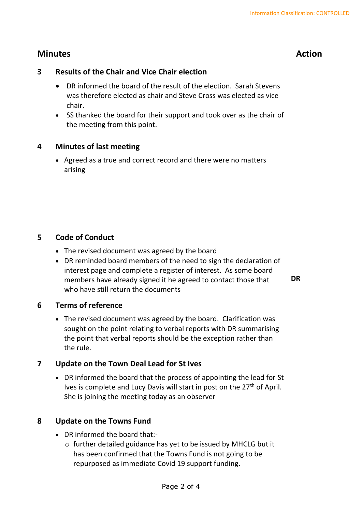## **Minutes Action**

#### **3 Results of the Chair and Vice Chair election**

- DR informed the board of the result of the election. Sarah Stevens was therefore elected as chair and Steve Cross was elected as vice chair.
- SS thanked the board for their support and took over as the chair of the meeting from this point.

#### **4 Minutes of last meeting**

• Agreed as a true and correct record and there were no matters arising

#### **5 Code of Conduct**

- The revised document was agreed by the board
- DR reminded board members of the need to sign the declaration of interest page and complete a register of interest. As some board members have already signed it he agreed to contact those that who have still return the documents

**DR**

#### **6 Terms of reference**

• The revised document was agreed by the board. Clarification was sought on the point relating to verbal reports with DR summarising the point that verbal reports should be the exception rather than the rule.

#### **7 Update on the Town Deal Lead for St Ives**

• DR informed the board that the process of appointing the lead for St Ives is complete and Lucy Davis will start in post on the 27<sup>th</sup> of April. She is joining the meeting today as an observer

#### **8 Update on the Towns Fund**

- DR informed the board that:
	- o further detailed guidance has yet to be issued by MHCLG but it has been confirmed that the Towns Fund is not going to be repurposed as immediate Covid 19 support funding.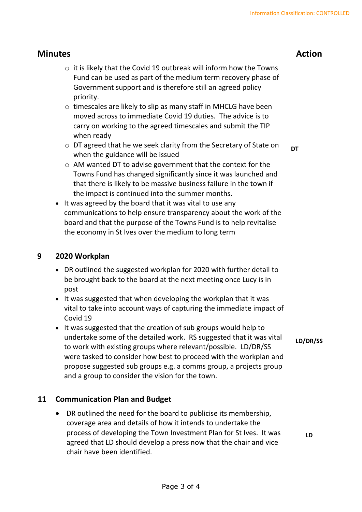#### **Minutes Action**

- $\circ$  it is likely that the Covid 19 outbreak will inform how the Towns Fund can be used as part of the medium term recovery phase of Government support and is therefore still an agreed policy priority.
- o timescales are likely to slip as many staff in MHCLG have been moved across to immediate Covid 19 duties. The advice is to carry on working to the agreed timescales and submit the TIP when ready
- o DT agreed that he we seek clarity from the Secretary of State on when the guidance will be issued
	- **DT**
- o AM wanted DT to advise government that the context for the Towns Fund has changed significantly since it was launched and that there is likely to be massive business failure in the town if the impact is continued into the summer months.
- It was agreed by the board that it was vital to use any communications to help ensure transparency about the work of the board and that the purpose of the Towns Fund is to help revitalise the economy in St Ives over the medium to long term

#### **9 2020 Workplan**

- DR outlined the suggested workplan for 2020 with further detail to be brought back to the board at the next meeting once Lucy is in post
- It was suggested that when developing the workplan that it was vital to take into account ways of capturing the immediate impact of Covid 19
- It was suggested that the creation of sub groups would help to undertake some of the detailed work. RS suggested that it was vital to work with existing groups where relevant/possible. LD/DR/SS were tasked to consider how best to proceed with the workplan and propose suggested sub groups e.g. a comms group, a projects group and a group to consider the vision for the town.

#### **LD/DR/SS**

#### **11 Communication Plan and Budget**

• DR outlined the need for the board to publicise its membership, coverage area and details of how it intends to undertake the process of developing the Town Investment Plan for St Ives. It was agreed that LD should develop a press now that the chair and vice chair have been identified.

**LD**